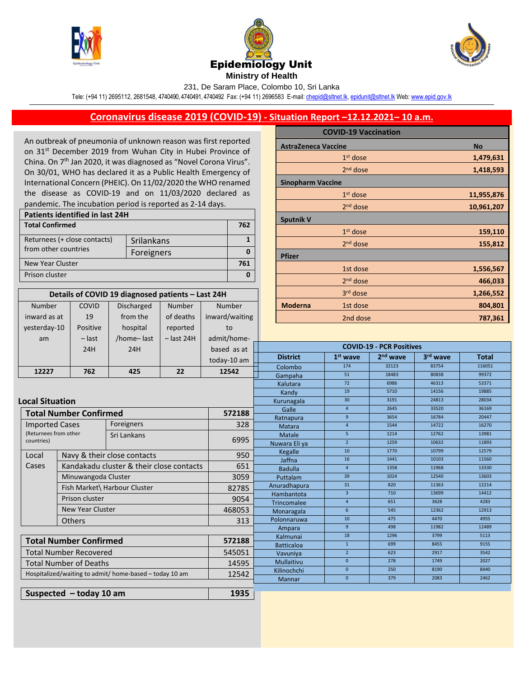

Number inward as at COVID 19





231, De Saram Place, Colombo 10, Sri Lanka

Tele: (+94 11) 2695112, 2681548, 4740490, 4740491, 4740492 Fax: (+94 11) 2696583 E-mail[: chepid@sltnet.lk,](mailto:chepi@sltnet.lk) [epidunit@sltnet.lk](mailto:epidunit@sltnet.lk) Web[: www.epid.gov.lk](http://www.epid.gov.lk/)

## **Coronavirus disease 2019 (COVID-19) - Situation Report –12.12.2021– 10 a.m.**

An outbreak of pneumonia of unknown reason was first reported on 31<sup>st</sup> December 2019 from Wuhan City in Hubei Province of China. On 7<sup>th</sup> Jan 2020, it was diagnosed as "Novel Corona Virus". On 30/01, WHO has declared it as a Public Health Emergency of International Concern (PHEIC). On 11/02/2020 the WHO renamed the disease as COVID-19 and on 11/03/2020 declared as pandemic. The incubation period is reported as 2-14 days.

| <b>Patients identified in last 24H</b> |            |  |  |
|----------------------------------------|------------|--|--|
| <b>Total Confirmed</b>                 |            |  |  |
| Returnees (+ close contacts)           | Srilankans |  |  |
| from other countries                   | Foreigners |  |  |
| New Year Cluster                       |            |  |  |
| Prison cluster                         |            |  |  |

**Details of COVID 19 diagnosed patients – Last 24H**

Number of deaths

Number inward/waiting

Discharged from the

|                            | <b>COVID-19 Vaccination</b> |            |
|----------------------------|-----------------------------|------------|
| <b>AstraZeneca Vaccine</b> |                             | <b>No</b>  |
|                            | $1st$ dose                  | 1,479,631  |
|                            | 2 <sup>nd</sup> dose        | 1,418,593  |
| <b>Sinopharm Vaccine</b>   |                             |            |
|                            | $1st$ dose                  | 11,955,876 |
|                            | $2nd$ dose                  | 10,961,207 |
| <b>Sputnik V</b>           |                             |            |
|                            | $1st$ dose                  | 159,110    |
|                            | $2nd$ dose                  | 155,812    |
| <b>Pfizer</b>              |                             |            |
|                            | 1st dose                    | 1,556,567  |
|                            | 2 <sup>nd</sup> dose        | 466,033    |
|                            | 3rd dose                    | 1,266,552  |
| <b>Moderna</b>             | 1st dose                    | 804,801    |
|                            | 2nd dose                    | 787,361    |

| yesterday-10                      | Positive                                                | hospital                    | reported          | to                    |                                  |                                 |                      |               |              |
|-----------------------------------|---------------------------------------------------------|-----------------------------|-------------------|-----------------------|----------------------------------|---------------------------------|----------------------|---------------|--------------|
| am                                | $-$ last                                                | /home-last                  | $-$ last 24H      | admit/home-           |                                  |                                 |                      |               |              |
|                                   | 24H                                                     | 24H                         |                   | based as at           |                                  | <b>COVID-19 - PCR Positives</b> |                      |               |              |
|                                   |                                                         |                             |                   | today-10 am           | <b>District</b>                  | $1st$ wave                      | 2 <sup>nd</sup> wave | 3rd wave      | <b>Total</b> |
|                                   |                                                         |                             |                   |                       | Colombo                          | 174                             | 32123                | 83754         | 116051       |
| 12227                             | 762                                                     | 425                         | 22                | 12542                 | Gampaha                          | 51                              | 18483                | 80838         | 99372        |
|                                   |                                                         |                             |                   |                       | Kalutara                         | 72                              | 6986                 | 46313         | 53371        |
|                                   |                                                         |                             |                   |                       | Kandy                            | 19                              | 5710                 | 14156         | 19885        |
|                                   | <b>Local Situation</b>                                  |                             |                   | Kurunagala            | 30 <sup>°</sup>                  | 3191                            | 24813                | 28034         |              |
|                                   | <b>Total Number Confirmed</b><br>572188                 |                             |                   | Galle                 | $\overline{4}$                   | 2645                            | 33520                | 36169         |              |
|                                   |                                                         |                             |                   |                       | Ratnapura                        | 9                               | 3654                 | 16784         | 20447        |
| <b>Imported Cases</b>             |                                                         | Foreigners                  |                   | 328                   | Matara                           | $\overline{4}$                  | 1544                 | 14722         | 16270        |
| (Returnees from other             |                                                         | Sri Lankans                 |                   | 6995                  | Matale                           | 5 <sup>5</sup>                  | 1214                 | 12762         | 13981        |
|                                   | countries)                                              |                             |                   | Nuwara Eli ya         | $\overline{2}$                   | 1259                            | 10632                | 11893         |              |
| Local                             |                                                         | Navy & their close contacts |                   | 950                   | Kegalle                          | 10                              | 1770                 | 10799         | 12579        |
| Cases                             | Kandakadu cluster & their close contacts                |                             | 651               | Jaffna                | 16                               | 1441                            | 10103                | 11560         |              |
|                                   |                                                         |                             |                   | <b>Badulla</b>        | $\overline{4}$                   | 1358                            | 11968                | 13330         |              |
|                                   | Minuwangoda Cluster                                     |                             | 3059              | Puttalam              | 39                               | 1024                            | 12540                | 13603         |              |
|                                   | Fish Market\ Harbour Cluster                            |                             | 82785             | Anuradhapura          | 31                               | 820                             | 11363                | 12214         |              |
|                                   | Prison cluster                                          |                             | 9054              | Hambantota            | $\overline{3}$<br>$\overline{4}$ | 710<br>651                      | 13699<br>3628        | 14412<br>4283 |              |
| <b>New Year Cluster</b>           |                                                         | 468053                      | Trincomalee       | 6                     | 545                              | 12362                           | 12913                |               |              |
|                                   | <b>Others</b>                                           |                             |                   | Monaragala            | 10                               | 475                             | 4470                 | 4955          |              |
|                                   |                                                         |                             | 313               | Polonnaruwa<br>Ampara | 9 <sup>°</sup>                   | 498                             | 11982                | 12489         |              |
|                                   |                                                         |                             | Kalmunai          | 18                    | 1296                             | 3799                            | 5113                 |               |              |
| <b>Total Number Confirmed</b>     |                                                         | 572188                      | <b>Batticaloa</b> | $\mathbf{1}$          | 699                              | 8455                            | 9155                 |               |              |
|                                   | <b>Total Number Recovered</b>                           |                             | 545051            | Vavuniya              | $2^{\circ}$                      | 623                             | 2917                 | 3542          |              |
| <b>Total Number of Deaths</b>     |                                                         | 14595                       | Mullaitivu        | $\mathbf{0}$          | 278                              | 1749                            | 2027                 |               |              |
|                                   |                                                         |                             | Kilinochchi       | $\mathbf{0}$          | 250                              | 8190                            | 8440                 |               |              |
|                                   | Hospitalized/waiting to admit/ home-based - today 10 am |                             | 12542             | Mannar                | $\mathbf{0}$                     | 379                             | 2083                 | 2462          |              |
|                                   |                                                         |                             |                   |                       |                                  |                                 |                      |               |              |
| 1935<br>Suspected $-$ today 10 am |                                                         |                             |                   |                       |                                  |                                 |                      |               |              |